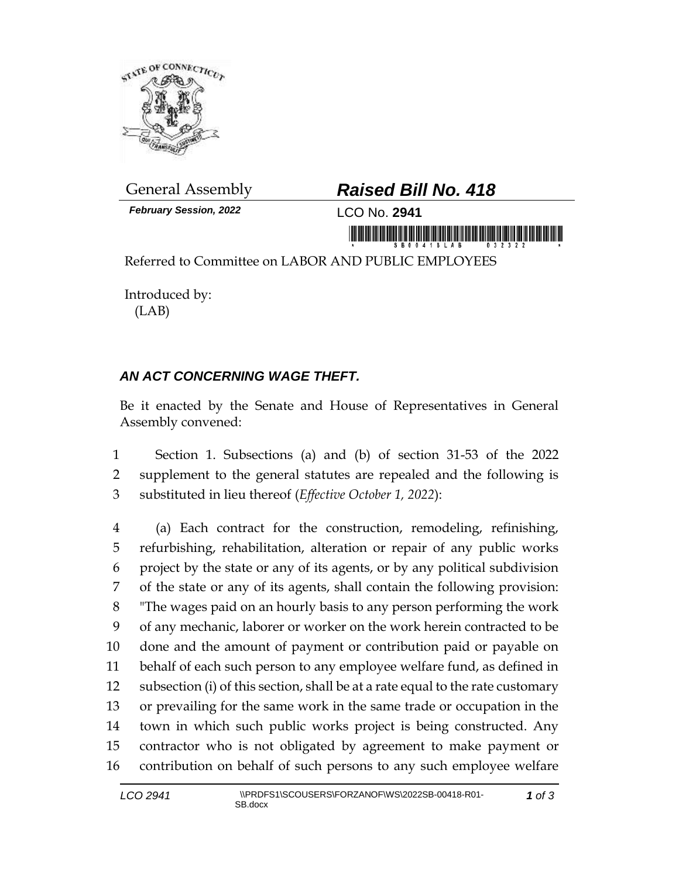

*February Session, 2022* LCO No. **2941**

## General Assembly *Raised Bill No. 418*

Referred to Committee on LABOR AND PUBLIC EMPLOYEES

Introduced by: (LAB)

## *AN ACT CONCERNING WAGE THEFT.*

Be it enacted by the Senate and House of Representatives in General Assembly convened:

 Section 1. Subsections (a) and (b) of section 31-53 of the 2022 supplement to the general statutes are repealed and the following is substituted in lieu thereof (*Effective October 1, 2022*):

 (a) Each contract for the construction, remodeling, refinishing, refurbishing, rehabilitation, alteration or repair of any public works project by the state or any of its agents, or by any political subdivision of the state or any of its agents, shall contain the following provision: "The wages paid on an hourly basis to any person performing the work of any mechanic, laborer or worker on the work herein contracted to be done and the amount of payment or contribution paid or payable on behalf of each such person to any employee welfare fund, as defined in subsection (i) of this section, shall be at a rate equal to the rate customary or prevailing for the same work in the same trade or occupation in the town in which such public works project is being constructed. Any contractor who is not obligated by agreement to make payment or contribution on behalf of such persons to any such employee welfare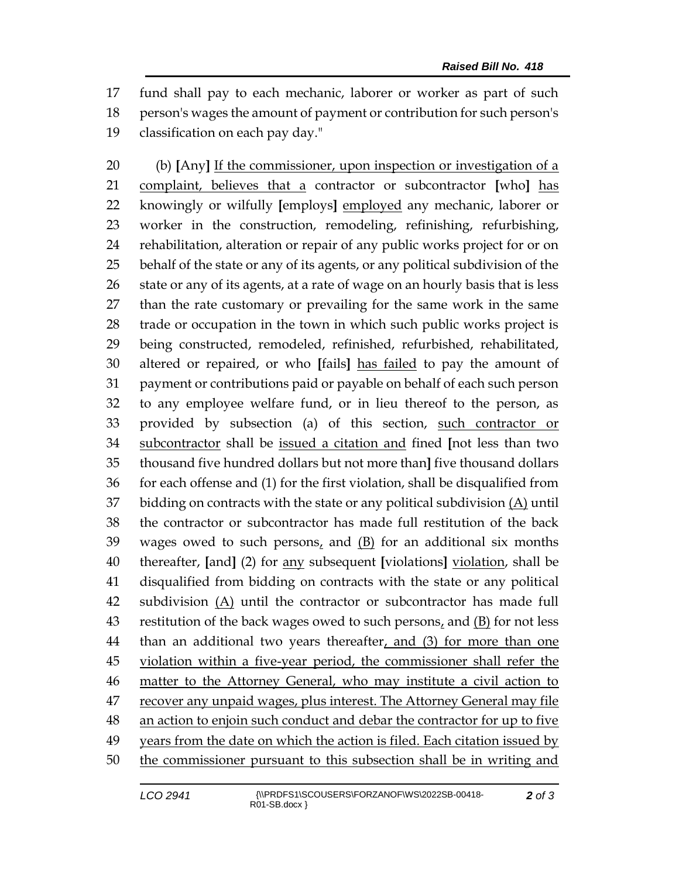fund shall pay to each mechanic, laborer or worker as part of such person's wages the amount of payment or contribution for such person's classification on each pay day."

 (b) **[**Any**]** If the commissioner, upon inspection or investigation of a complaint, believes that a contractor or subcontractor **[**who**]** has knowingly or wilfully **[**employs**]** employed any mechanic, laborer or worker in the construction, remodeling, refinishing, refurbishing, rehabilitation, alteration or repair of any public works project for or on behalf of the state or any of its agents, or any political subdivision of the 26 state or any of its agents, at a rate of wage on an hourly basis that is less than the rate customary or prevailing for the same work in the same trade or occupation in the town in which such public works project is being constructed, remodeled, refinished, refurbished, rehabilitated, altered or repaired, or who **[**fails**]** has failed to pay the amount of payment or contributions paid or payable on behalf of each such person to any employee welfare fund, or in lieu thereof to the person, as provided by subsection (a) of this section, such contractor or subcontractor shall be issued a citation and fined **[**not less than two thousand five hundred dollars but not more than**]** five thousand dollars for each offense and (1) for the first violation, shall be disqualified from 37 bidding on contracts with the state or any political subdivision  $(A)$  until the contractor or subcontractor has made full restitution of the back wages owed to such persons, and (B) for an additional six months thereafter, **[**and**]** (2) for any subsequent **[**violations**]** violation, shall be disqualified from bidding on contracts with the state or any political 42 subdivision  $(A)$  until the contractor or subcontractor has made full restitution of the back wages owed to such persons, and (B) for not less 44 than an additional two years thereafter, and (3) for more than one 45 violation within a five-year period, the commissioner shall refer the matter to the Attorney General, who may institute a civil action to recover any unpaid wages, plus interest. The Attorney General may file an action to enjoin such conduct and debar the contractor for up to five years from the date on which the action is filed. Each citation issued by 50 the commissioner pursuant to this subsection shall be in writing and